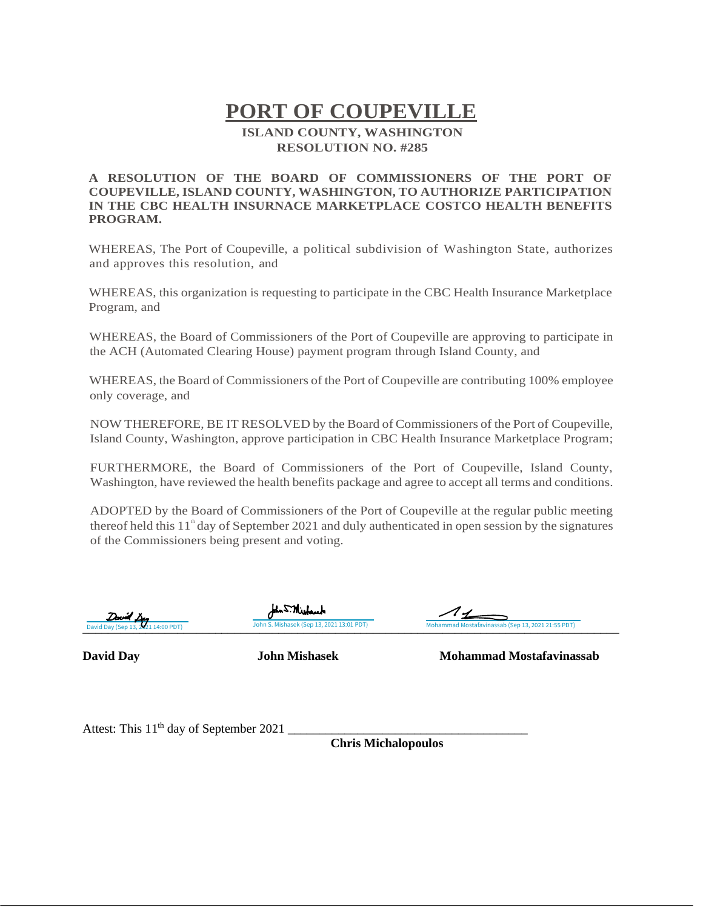## **PORT OF COUPEVILLE ISLAND COUNTY, WASHINGTON RESOLUTION NO. #285**

## **A RESOLUTION OF THE BOARD OF COMMISSIONERS OF THE PORT OF COUPEVILLE, ISLAND COUNTY, WASHINGTON, TO AUTHORIZE PARTICIPATION IN THE CBC HEALTH INSURNACE MARKETPLACE COSTCO HEALTH BENEFITS PROGRAM.**

WHEREAS, The Port of Coupeville, a political subdivision of Washington State, authorizes and approves this resolution, and

WHEREAS, this organization is requesting to participate in the CBC Health Insurance Marketplace Program, and

WHEREAS, the Board of Commissioners of the Port of Coupeville are approving to participate in the ACH (Automated Clearing House) payment program through Island County, and

WHEREAS, the Board of Commissioners of the Port of Coupeville are contributing 100% employee only coverage, and

NOW THEREFORE, BE IT RESOLVED by the Board of Commissioners of the Port of Coupeville, Island County, Washington, approve participation in CBC Health Insurance Marketplace Program;

FURTHERMORE, the Board of Commissioners of the Port of Coupeville, Island County, Washington, have reviewed the health benefits package and agree to accept all terms and conditions.

ADOPTED by the Board of Commissioners of the Port of Coupeville at the regular public meeting thereof held this  $11^{\text{th}}$  day of September 2021 and duly authenticated in open session by the signatures of the Commissioners being present and voting.



Ann S.Mishauch

David Day (Sep 13, 2011 14:00 PDT) John S. Mishasek (Sep 13, 2021 13:01 PDT) Mohammad Mostafavinassab (Sep 13, 2021 21:55 PDT)

**David Day John Mishasek Mohammad Mostafavinassab**

Attest: This 11 th day of September 2021 \_\_\_\_\_\_\_\_\_\_\_\_\_\_\_\_\_\_\_\_\_\_\_\_\_\_\_\_\_\_\_\_\_\_\_\_\_\_

**Chris Michalopoulos**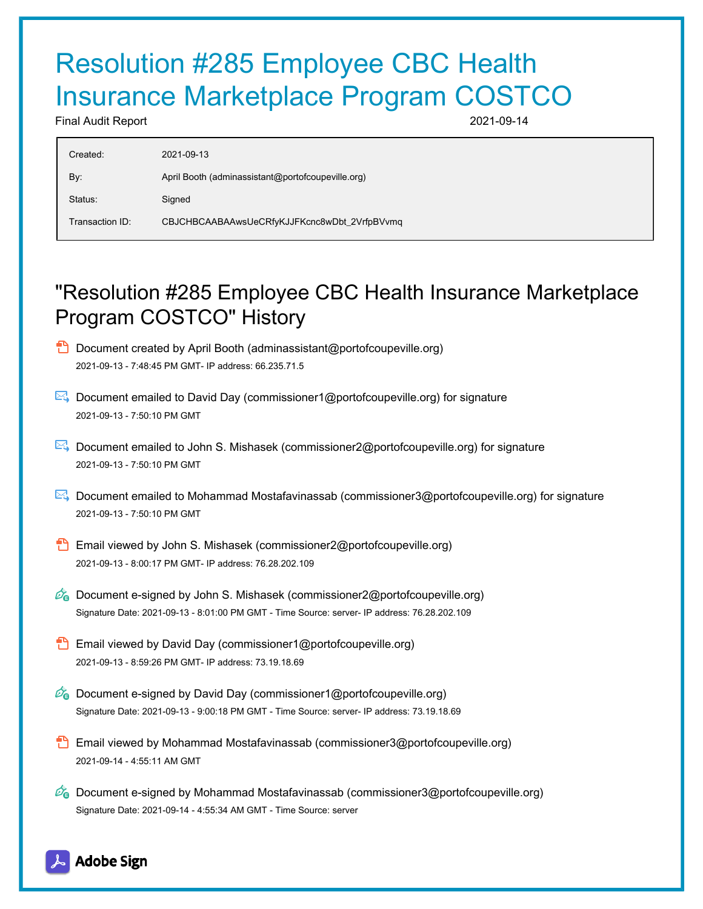## Resolution #285 Employee CBC Health Insurance Marketplace Program COSTCO

Final Audit Report 2021-09-14

| Created:        | 2021-09-13                                        |
|-----------------|---------------------------------------------------|
|                 |                                                   |
| By:             | April Booth (adminassistant@portofcoupeville.org) |
| Status:         | Signed                                            |
| Transaction ID: | CBJCHBCAABAAwsUeCRfyKJJFKcnc8wDbt_2VrfpBVvmq      |
|                 |                                                   |

## "Resolution #285 Employee CBC Health Insurance Marketplace Program COSTCO" History

- **D** Document created by April Booth (adminassistant@portofcoupeville.org) 2021-09-13 - 7:48:45 PM GMT- IP address: 66.235.71.5
- Document emailed to David Day (commissioner1@portofcoupeville.org) for signature 2021-09-13 - 7:50:10 PM GMT
- Document emailed to John S. Mishasek (commissioner2@portofcoupeville.org) for signature 2021-09-13 - 7:50:10 PM GMT
- Document emailed to Mohammad Mostafavinassab (commissioner3@portofcoupeville.org) for signature 2021-09-13 - 7:50:10 PM GMT
- Email viewed by John S. Mishasek (commissioner2@portofcoupeville.org) 2021-09-13 - 8:00:17 PM GMT- IP address: 76.28.202.109
- $\mathcal{O}_0$  Document e-signed by John S. Mishasek (commissioner2@portofcoupeville.org) Signature Date: 2021-09-13 - 8:01:00 PM GMT - Time Source: server- IP address: 76.28.202.109
- **Email viewed by David Day (commissioner1@portofcoupeville.org)** 2021-09-13 - 8:59:26 PM GMT- IP address: 73.19.18.69
- $\mathscr{O}_0$  Document e-signed by David Day (commissioner1@portofcoupeville.org) Signature Date: 2021-09-13 - 9:00:18 PM GMT - Time Source: server- IP address: 73.19.18.69
- **Email viewed by Mohammad Mostafavinassab (commissioner3@portofcoupeville.org)** 2021-09-14 - 4:55:11 AM GMT
- $\mathscr{D}_\bullet$  Document e-signed by Mohammad Mostafavinassab (commissioner3@portofcoupeville.org) Signature Date: 2021-09-14 - 4:55:34 AM GMT - Time Source: server